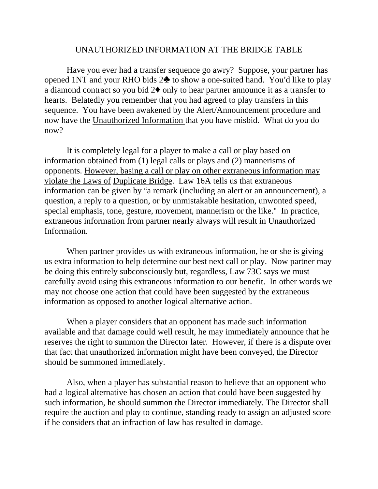## UNAUTHORIZED INFORMATION AT THE BRIDGE TABLE

Have you ever had a transfer sequence go awry? Suppose, your partner has opened 1NT and your RHO bids  $2\clubsuit$  to show a one-suited hand. You'd like to play a diamond contract so you bid  $2\blacklozenge$  only to hear partner announce it as a transfer to hearts. Belatedly you remember that you had agreed to play transfers in this sequence. You have been awakened by the Alert/Announcement procedure and now have the Unauthorized Information that you have misbid. What do you do now?

It is completely legal for a player to make a call or play based on information obtained from (1) legal calls or plays and (2) mannerisms of opponents. However, basing a call or play on other extraneous information may violate the Laws of Duplicate Bridge. Law 16A tells us that extraneous information can be given by "a remark (including an alert or an announcement), a question, a reply to a question, or by unmistakable hesitation, unwonted speed, special emphasis, tone, gesture, movement, mannerism or the like." In practice, extraneous information from partner nearly always will result in Unauthorized Information.

When partner provides us with extraneous information, he or she is giving us extra information to help determine our best next call or play. Now partner may be doing this entirely subconsciously but, regardless, Law 73C says we must carefully avoid using this extraneous information to our benefit. In other words we may not choose one action that could have been suggested by the extraneous information as opposed to another logical alternative action.

When a player considers that an opponent has made such information available and that damage could well result, he may immediately announce that he reserves the right to summon the Director later. However, if there is a dispute over that fact that unauthorized information might have been conveyed, the Director should be summoned immediately.

Also, when a player has substantial reason to believe that an opponent who had a logical alternative has chosen an action that could have been suggested by such information, he should summon the Director immediately. The Director shall require the auction and play to continue, standing ready to assign an adjusted score if he considers that an infraction of law has resulted in damage.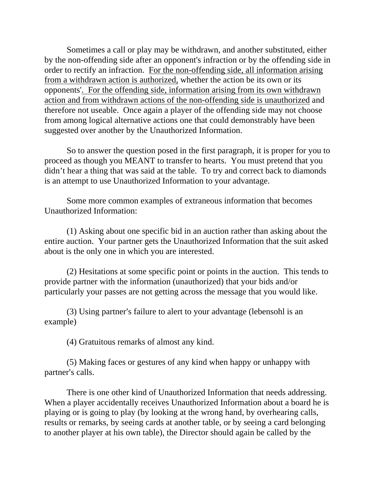Sometimes a call or play may be withdrawn, and another substituted, either by the non-offending side after an opponent's infraction or by the offending side in order to rectify an infraction. For the non-offending side, all information arising from a withdrawn action is authorized, whether the action be its own or its opponents'. For the offending side, information arising from its own withdrawn action and from withdrawn actions of the non-offending side is unauthorized and therefore not useable. Once again a player of the offending side may not choose from among logical alternative actions one that could demonstrably have been suggested over another by the Unauthorized Information.

So to answer the question posed in the first paragraph, it is proper for you to proceed as though you MEANT to transfer to hearts. You must pretend that you didn't hear a thing that was said at the table. To try and correct back to diamonds is an attempt to use Unauthorized Information to your advantage.

Some more common examples of extraneous information that becomes Unauthorized Information:

(1) Asking about one specific bid in an auction rather than asking about the entire auction. Your partner gets the Unauthorized Information that the suit asked about is the only one in which you are interested.

(2) Hesitations at some specific point or points in the auction. This tends to provide partner with the information (unauthorized) that your bids and/or particularly your passes are not getting across the message that you would like.

(3) Using partner's failure to alert to your advantage (lebensohl is an example)

(4) Gratuitous remarks of almost any kind.

(5) Making faces or gestures of any kind when happy or unhappy with partner's calls.

 There is one other kind of Unauthorized Information that needs addressing. When a player accidentally receives Unauthorized Information about a board he is playing or is going to play (by looking at the wrong hand, by overhearing calls, results or remarks, by seeing cards at another table, or by seeing a card belonging to another player at his own table), the Director should again be called by the